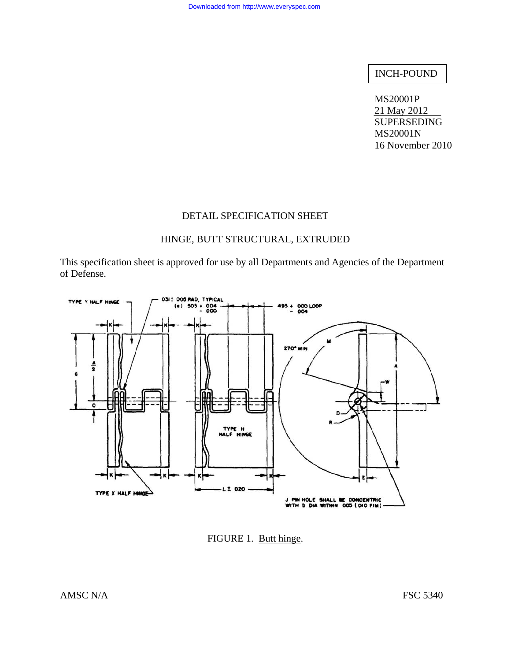# INCH-POUND

MS20001P 21 May 2012 **SUPERSEDING** MS20001N 16 November 2010

### DETAIL SPECIFICATION SHEET

# HINGE, BUTT STRUCTURAL, EXTRUDED

This specification sheet is approved for use by all Departments and Agencies of the Department of Defense.



FIGURE 1. Butt hinge.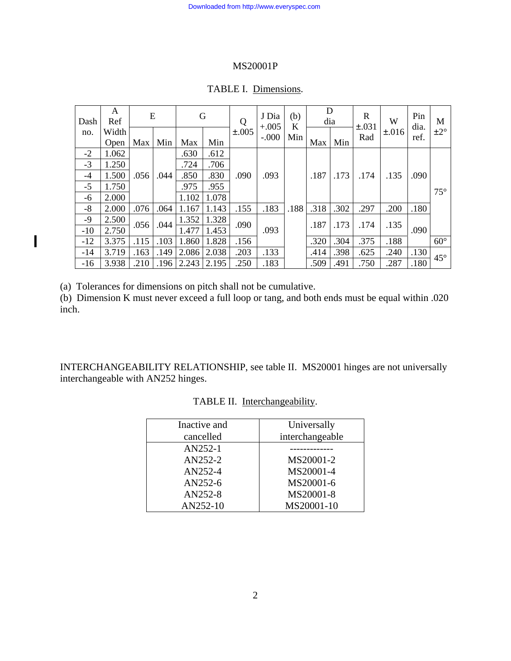| Dash  | A<br>Ref | E    |      | G     |       | Q           | J Dia<br>$+.005$ | (b)<br>K | D<br>dia |      | $\mathbf R$<br>$\pm .031$ | W         | Pin<br>dia. | M            |
|-------|----------|------|------|-------|-------|-------------|------------------|----------|----------|------|---------------------------|-----------|-------------|--------------|
| no.   | Width    |      |      |       |       | $\pm 0.005$ | $-.000$          | Min      |          |      | Rad                       | $\pm 016$ | ref.        | ±2°          |
|       | Open     | Max  | Min  | Max   | Min   |             |                  |          | Max      | Min  |                           |           |             |              |
| $-2$  | 1.062    |      |      | .630  | .612  |             |                  |          |          |      |                           |           |             |              |
| $-3$  | 1.250    |      |      | .724  | .706  |             |                  |          |          |      |                           |           |             |              |
| $-4$  | 1.500    | .056 | .044 | .850  | .830  | .090        | .093             |          | .187     | .173 | .174                      | .135      | .090        |              |
| $-5$  | 1.750    |      |      | .975  | .955  |             |                  |          |          |      |                           |           |             | $75^{\circ}$ |
| -6    | 2.000    |      |      | 1.102 | 1.078 |             |                  |          |          |      |                           |           |             |              |
| $-8$  | 2.000    | .076 | .064 | 1.167 | 1.143 | .155        | .183             | .188     | .318     | .302 | .297                      | .200      | .180        |              |
| $-9$  | 2.500    | .056 | .044 | 1.352 | 1.328 | .090        | .093             |          | .187     | .173 | .174                      | .135      | .090        |              |
| $-10$ | 2.750    |      |      | 1.477 | 1.453 |             |                  |          |          |      |                           |           |             |              |
| $-12$ | 3.375    | .115 | .103 | 1.860 | 1.828 | .156        |                  |          | .320     | .304 | .375                      | .188      |             | $60^\circ$   |
| $-14$ | 3.719    | .163 | .149 | 2.086 | 2.038 | .203        | .133             |          | .414     | .398 | .625                      | .240      | .130        | $45^{\circ}$ |
| $-16$ | 3.938    | .210 | .196 | 2.243 | 2.195 | .250        | .183             |          | .509     | .491 | .750                      | .287      | .180        |              |

#### TABLE I. Dimensions.

(a) Tolerances for dimensions on pitch shall not be cumulative.

I

(b) Dimension K must never exceed a full loop or tang, and both ends must be equal within .020 inch.

INTERCHANGEABILITY RELATIONSHIP, see table II. MS20001 hinges are not universally interchangeable with AN252 hinges.

| Inactive and | Universally     |
|--------------|-----------------|
| cancelled    | interchangeable |
| AN252-1      |                 |
| AN252-2      | MS20001-2       |
| AN252-4      | MS20001-4       |
| AN252-6      | MS20001-6       |
| AN252-8      | MS20001-8       |
| AN252-10     | MS20001-10      |

TABLE II. Interchangeability.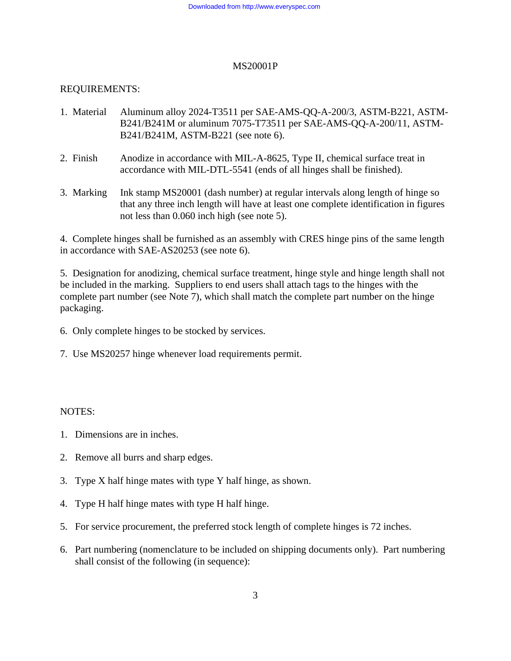# REQUIREMENTS:

- 1. Material Aluminum alloy 2024-T3511 per SAE-AMS-QQ-A-200/3, ASTM-B221, ASTM-B241/B241M or aluminum 7075-T73511 per SAE-AMS-QQ-A-200/11, ASTM-B241/B241M, ASTM-B221 (see note 6).
- 2. Finish Anodize in accordance with MIL-A-8625, Type II, chemical surface treat in accordance with MIL-DTL-5541 (ends of all hinges shall be finished).
- 3. Marking Ink stamp MS20001 (dash number) at regular intervals along length of hinge so that any three inch length will have at least one complete identification in figures not less than 0.060 inch high (see note 5).

4. Complete hinges shall be furnished as an assembly with CRES hinge pins of the same length in accordance with SAE-AS20253 (see note 6).

5. Designation for anodizing, chemical surface treatment, hinge style and hinge length shall not be included in the marking. Suppliers to end users shall attach tags to the hinges with the complete part number (see Note 7), which shall match the complete part number on the hinge packaging.

- 6. Only complete hinges to be stocked by services.
- 7. Use MS20257 hinge whenever load requirements permit.

## NOTES:

- 1. Dimensions are in inches.
- 2. Remove all burrs and sharp edges.
- 3. Type X half hinge mates with type Y half hinge, as shown.
- 4. Type H half hinge mates with type H half hinge.
- 5. For service procurement, the preferred stock length of complete hinges is 72 inches.
- 6. Part numbering (nomenclature to be included on shipping documents only). Part numbering shall consist of the following (in sequence):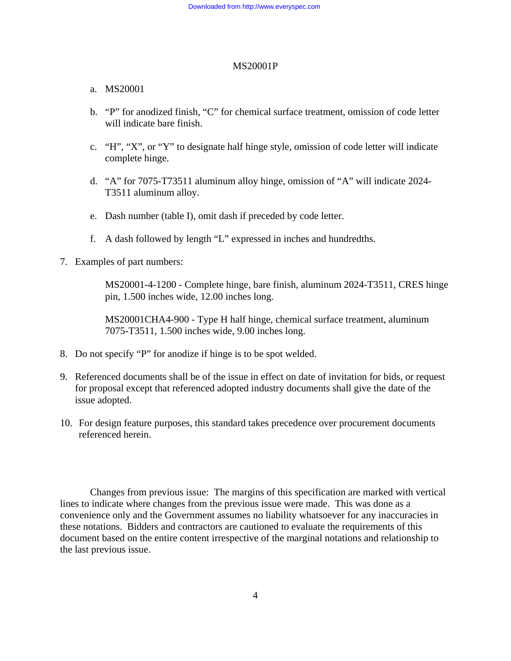## a. MS20001

- b. "P" for anodized finish, "C" for chemical surface treatment, omission of code letter will indicate bare finish.
- c. "H", "X", or "Y" to designate half hinge style, omission of code letter will indicate complete hinge.
- d. "A" for 7075-T73511 aluminum alloy hinge, omission of "A" will indicate 2024- T3511 aluminum alloy.
- e. Dash number (table I), omit dash if preceded by code letter.
- f. A dash followed by length "L" expressed in inches and hundredths.
- 7. Examples of part numbers:

 MS20001-4-1200 - Complete hinge, bare finish, aluminum 2024-T3511, CRES hinge pin, 1.500 inches wide, 12.00 inches long.

 MS20001CHA4-900 - Type H half hinge, chemical surface treatment, aluminum 7075-T3511, 1.500 inches wide, 9.00 inches long.

- 8. Do not specify "P" for anodize if hinge is to be spot welded.
- 9. Referenced documents shall be of the issue in effect on date of invitation for bids, or request for proposal except that referenced adopted industry documents shall give the date of the issue adopted.
- 10. For design feature purposes, this standard takes precedence over procurement documents referenced herein.

 Changes from previous issue: The margins of this specification are marked with vertical lines to indicate where changes from the previous issue were made. This was done as a convenience only and the Government assumes no liability whatsoever for any inaccuracies in these notations. Bidders and contractors are cautioned to evaluate the requirements of this document based on the entire content irrespective of the marginal notations and relationship to the last previous issue.